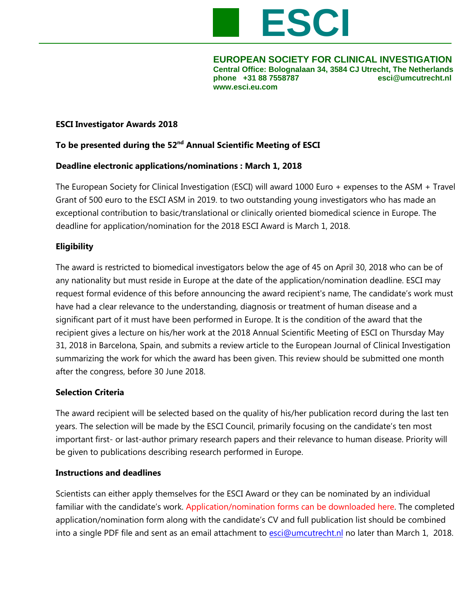

**EUROPEAN SOCIETY FOR CLINICAL INVESTIGATION Central Office: Bolognalaan 34, 3584 CJ Utrecht, The Netherlands phone +31 88 7558787 esci@umcutrecht.nl [www.esci.eu.com](http://www.esci.eu.com/)**

# **ESCI Investigator Awards 2018**

# **To be presented during the 52nd Annual Scientific Meeting of ESCI**

#### **Deadline electronic applications/nominations : March 1, 2018**

The European Society for Clinical Investigation (ESCI) will award 1000 Euro + expenses to the ASM + Travel Grant of 500 euro to the ESCI ASM in 2019. to two outstanding young investigators who has made an exceptional contribution to basic/translational or clinically oriented biomedical science in Europe. The deadline for application/nomination for the 2018 ESCI Award is March 1, 2018.

# **Eligibility**

The award is restricted to biomedical investigators below the age of 45 on April 30, 2018 who can be of any nationality but must reside in Europe at the date of the application/nomination deadline. ESCI may request formal evidence of this before announcing the award recipient's name, The candidate's work must have had a clear relevance to the understanding, diagnosis or treatment of human disease and a significant part of it must have been performed in Europe. It is the condition of the award that the recipient gives a lecture on his/her work at the 2018 Annual Scientific Meeting of ESCI on Thursday May 31, 2018 in Barcelona, Spain, and submits a review article to the European Journal of Clinical Investigation summarizing the work for which the award has been given. This review should be submitted one month after the congress, before 30 June 2018.

#### **Selection Criteria**

The award recipient will be selected based on the quality of his/her publication record during the last ten years. The selection will be made by the ESCI Council, primarily focusing on the candidate's ten most important first- or last-author primary research papers and their relevance to human disease. Priority will be given to publications describing research performed in Europe.

#### **Instructions and deadlines**

Scientists can either apply themselves for the ESCI Award or they can be nominated by an individual familiar with the candidate's work. Application/nomination forms can be downloaded here. The completed application/nomination form along with the candidate's CV and full publication list should be combined into a single PDF file and sent as an email attachment to [esci@umcutrecht.nl](mailto:esci@umcutrecht.nl) no later than March 1, 2018.